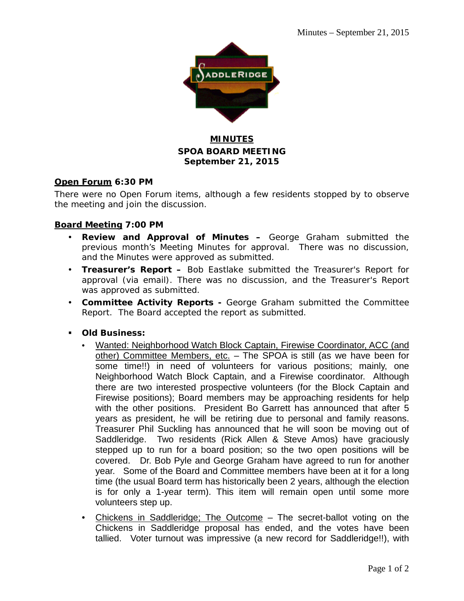

#### **MINUTES SPOA BOARD MEETING September 21, 2015**

#### **Open Forum 6:30 PM**

There were no Open Forum items, although a few residents stopped by to observe the meeting and join the discussion.

#### **Board Meeting 7:00 PM**

- **Review and Approval of Minutes –** George Graham submitted the previous month's Meeting Minutes for approval. There was no discussion, and the Minutes were approved as submitted.
- **Treasurer's Report –** Bob Eastlake submitted the Treasurer's Report for approval (via email). There was no discussion, and the Treasurer's Report was approved as submitted.
- **Committee Activity Reports -** George Graham submitted the Committee Report. The Board accepted the report as submitted.
- **Old Business:**
	- Wanted: Neighborhood Watch Block Captain, Firewise Coordinator, ACC (and other) Committee Members, etc. - The SPOA is still (as we have been for some time!!) in need of volunteers for various positions; mainly, one Neighborhood Watch Block Captain, and a Firewise coordinator. Although there are two interested prospective volunteers (for the Block Captain and Firewise positions); Board members may be approaching residents for help with the other positions. President Bo Garrett has announced that after 5 years as president, he will be retiring due to personal and family reasons. Treasurer Phil Suckling has announced that he will soon be moving out of Saddleridge. Two residents (Rick Allen & Steve Amos) have graciously stepped up to run for a board position; so the two open positions will be covered. Dr. Bob Pyle and George Graham have agreed to run for another year. Some of the Board and Committee members have been at it for a long time (the usual Board term has historically been 2 years, although the election is for only a 1-year term). This item will remain open until some more volunteers step up.
	- Chickens in Saddleridge; The Outcome The secret-ballot voting on the Chickens in Saddleridge proposal has ended, and the votes have been tallied. Voter turnout was impressive (a new record for Saddleridge!!), with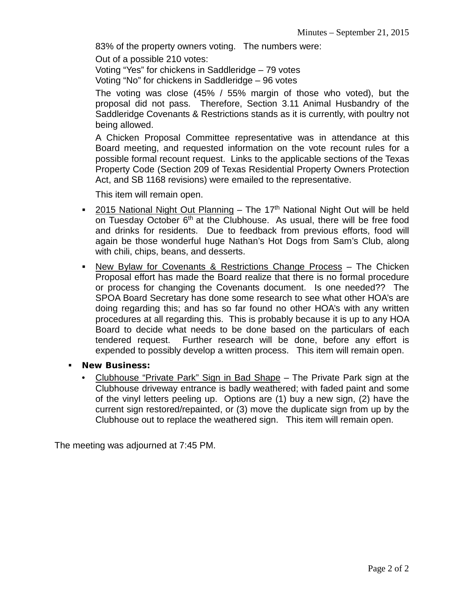83% of the property owners voting. The numbers were:

Out of a possible 210 votes:

Voting "Yes" for chickens in Saddleridge – 79 votes

Voting "No" for chickens in Saddleridge – 96 votes

The voting was close (45% / 55% margin of those who voted), but the proposal did not pass. Therefore, Section 3.11 Animal Husbandry of the Saddleridge Covenants & Restrictions stands as it is currently, with poultry not being allowed.

A Chicken Proposal Committee representative was in attendance at this Board meeting, and requested information on the vote recount rules for a possible formal recount request. Links to the applicable sections of the Texas Property Code (Section 209 of Texas Residential Property Owners Protection Act, and SB 1168 revisions) were emailed to the representative.

This item will remain open.

- **2015 National Night Out Planning The 17th National Night Out will be held** on Tuesday October 6<sup>th</sup> at the Clubhouse. As usual, there will be free food and drinks for residents. Due to feedback from previous efforts, food will again be those wonderful huge Nathan's Hot Dogs from Sam's Club, along with chili, chips, beans, and desserts.
- New Bylaw for Covenants & Restrictions Change Process The Chicken Proposal effort has made the Board realize that there is no formal procedure or process for changing the Covenants document. Is one needed?? The SPOA Board Secretary has done some research to see what other HOA's are doing regarding this; and has so far found no other HOA's with any written procedures at all regarding this. This is probably because it is up to any HOA Board to decide what needs to be done based on the particulars of each tendered request. Further research will be done, before any effort is expended to possibly develop a written process. This item will remain open.
- **New Business:**
	- Clubhouse "Private Park" Sign in Bad Shape The Private Park sign at the Clubhouse driveway entrance is badly weathered; with faded paint and some of the vinyl letters peeling up. Options are (1) buy a new sign, (2) have the current sign restored/repainted, or (3) move the duplicate sign from up by the Clubhouse out to replace the weathered sign. This item will remain open.

The meeting was adjourned at 7:45 PM.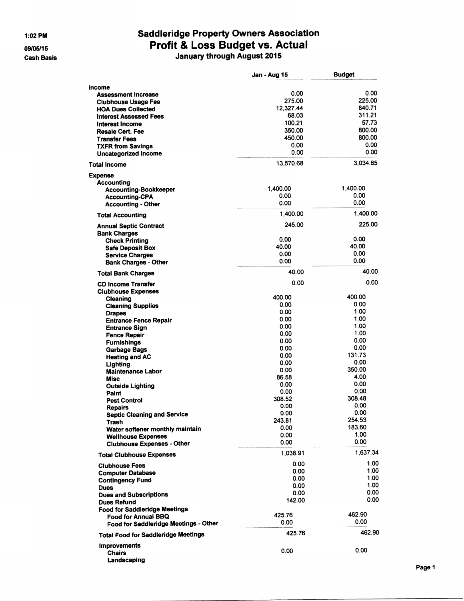1:02 PM

09/05/15 **Cash Basis** 

# Saddleridge Property Owners Association<br>Profit & Loss Budget vs. Actual<br>January through August 2015

|                                                              | Jan - Aug 15   | <b>Budget</b> |
|--------------------------------------------------------------|----------------|---------------|
| income                                                       |                |               |
| <b>Assessment Increase</b>                                   | 0.00           | 0.00          |
| <b>Clubhouse Usage Fee</b>                                   | 275.00         | 225.00        |
| <b>HOA Dues Collected</b>                                    | 12,327.44      | 840.71        |
| <b>Interest Assessed Fees</b>                                | 68.03          | 311.21        |
| Interest Income                                              | 100.21         | 57.73         |
| Resale Cert. Fee                                             | 350.00         | 800.00        |
| <b>Transfer Fees</b>                                         | 450.00         | 800.00        |
| <b>TXFR from Savings</b>                                     | 0.00           | 0.00          |
| Uncategorized Income                                         | 0.00           | 0.00          |
| Total Income                                                 | 13,570.68      | 3,034.65      |
| <b>Expense</b>                                               |                |               |
| Accounting                                                   | 1.400.00       | 1,400.00      |
| <b>Accounting-Bookkeeper</b>                                 | 0.00           | 0.00          |
| <b>Accounting-CPA</b>                                        | 0.00           | 0.00          |
| <b>Accounting - Other</b>                                    |                |               |
| <b>Total Accounting</b>                                      | 1,400.00       | 1,400.00      |
| <b>Annual Septic Contract</b><br><b>Bank Charges</b>         | 245.00         | 225.00        |
| <b>Check Printing</b>                                        | 0.00           | 0.00          |
| <b>Safe Deposit Box</b>                                      | 40.00          | 40.00         |
| <b>Service Charges</b>                                       | 0.00           | 0.00          |
| <b>Bank Charges - Other</b>                                  | 0.00           | 0.00          |
| <b>Total Bank Charges</b>                                    | 40.00          | 40.00         |
| <b>CD Income Transfer</b><br><b>Clubhouse Expenses</b>       | 0.00           | 0.00          |
| Cleaning                                                     | 400.00         | 400.00        |
| <b>Cleaning Supplies</b>                                     | 0.00           | 0.00          |
| <b>Drapes</b>                                                | 0.00           | 1.00          |
| <b>Entrance Fence Repair</b>                                 | 0.00           | 1.00          |
| <b>Entrance Sign</b>                                         | 0.00           | 1.00          |
| <b>Fence Repair</b>                                          | 0.00           | 1.00          |
| <b>Furnishings</b>                                           | 0.00           | 0.00          |
| <b>Garbage Bags</b>                                          | 0.00           | 0.00          |
| <b>Heating and AC</b>                                        | 0.00           | 131.73        |
| Lighting                                                     | 0.00           | 0.00          |
| <b>Maintenance Labor</b>                                     | 0.00           | 350.00        |
| <b>Misc</b>                                                  | 86.58          | 4.00          |
| <b>Outside Lighting</b>                                      | 0.00           | 0.00<br>0.00  |
| Paint                                                        | 0.00<br>308.52 | 308.48        |
| <b>Pest Control</b>                                          | 0.00           | 0.00          |
| Repairs                                                      | 0.00           | 0.00          |
| <b>Septic Cleaning and Service</b><br>Trash                  | 243.81         | 254.53        |
| Water softener monthly maintain                              | 0.00           | 183.60        |
| <b>Wellhouse Expenses</b>                                    | 0.00           | 1.00          |
| <b>Clubhouse Expenses - Other</b>                            | 0.00           | 0.00          |
| <b>Total Clubhouse Expenses</b>                              | 1,038.91       | 1,637.34      |
| <b>Clubhouse Fees</b>                                        | 0.00           | 1.00<br>1.00  |
| <b>Computer Database</b>                                     | 0.00           | 1.00          |
| <b>Contingency Fund</b>                                      | 0.00<br>0.00   | 1.00          |
| <b>Dues</b>                                                  | 0.00           | 0.00          |
| <b>Dues and Subscriptions</b>                                | 142.00         | 0.00          |
| Dues Refund                                                  |                |               |
| <b>Food for Saddleridge Meetings</b>                         | 425.76         | 462.90        |
| Food for Annual BBQ<br>Food for Saddleridge Meetings - Other | 0.00           | 0.00          |
| <b>Total Food for Saddleridge Meetings</b>                   | 425.76         | 462.90        |
| <b>Improvements</b>                                          |                |               |
| <b>Chairs</b>                                                | 0.00           | 0.00          |
| Landscaping                                                  |                |               |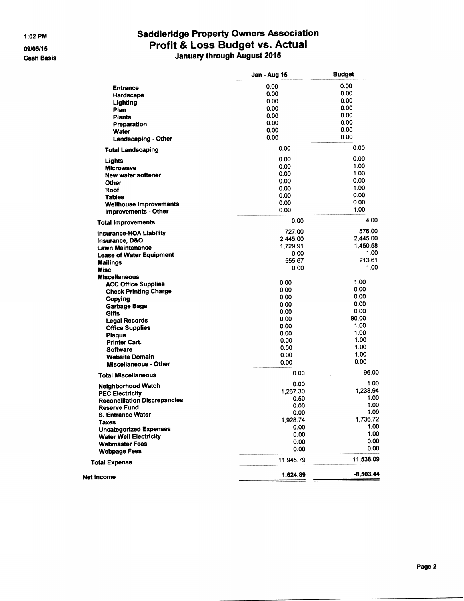1:02 PM

09/05/15

### **Cash Basis**

## **Saddleridge Property Owners Association** Profit & Loss Budget vs. Actual<br>January through August 2015

|                                     | <b>Jan - Aug 15</b> | <b>Budget</b> |
|-------------------------------------|---------------------|---------------|
| <b>Entrance</b>                     | 0.00                | 0.00          |
| Hardscape                           | 0.00                | 0.00          |
| Lighting                            | 0.00                | 0.00          |
| Plan                                | 0.00                | 0.00          |
| <b>Plants</b>                       | 0.00                | 0.00          |
| Preparation                         | 0.00                | 0.00          |
|                                     | 0.00                | 0.00          |
| Water                               | 0.00                | 0.00          |
| Landscaping - Other                 |                     | 0.00          |
| <b>Total Landscaping</b>            | 0.00                |               |
| Lights                              | 0.00                | 0.00          |
| <b>Microwave</b>                    | 0.00                | 1.00          |
| <b>New water softener</b>           | 0.00                | 1.00          |
| Other                               | 0.00                | 0.00          |
| Roof                                | 0.00                | 1.00          |
| <b>Tables</b>                       | 0.00                | 0.00          |
| <b>Wellhouse Improvements</b>       | 0.00                | 0.00          |
| Improvements - Other                | 0.00                | 1.00          |
| <b>Total Improvements</b>           | 0.00                | 4.00          |
| <b>Insurance-HOA Liability</b>      | 727.00              | 576.00        |
| Insurance, D&O                      | 2,445.00            | 2.445.00      |
| <b>Lawn Maintenance</b>             | 1,729.91            | 1,450.58      |
| <b>Lease of Water Equipment</b>     | 0.00                | 1.00          |
| <b>Mailings</b>                     | 555.67              | 213.61        |
| <b>Misc</b>                         | 0.00                | 1.00          |
| <b>Miscellaneous</b>                |                     |               |
| <b>ACC Office Supplies</b>          | 0.00                | 1.00          |
| <b>Check Printing Charge</b>        | 0.00                | 0.00          |
| Copying                             | 0.00                | 0.00          |
| <b>Garbage Bags</b>                 | 0.00                | 0.00          |
| Gifts                               | 0.00                | 0.00          |
| <b>Legal Records</b>                | 0.00                | 90.00         |
| <b>Office Supplies</b>              | 0.00                | 1.00          |
| <b>Plaque</b>                       | 0.00                | 1.00          |
| <b>Printer Cart.</b>                | 0.00                | 1.00          |
| Software                            | 0.00                | 1.00          |
| <b>Website Domain</b>               | 0.00                | 1.00          |
| <b>Miscellaneous - Other</b>        | 0.00                | 0.00          |
| <b>Total Miscellaneous</b>          | 0.00                | 96.00         |
| Neighborhood Watch                  | 0.00                | 1.00          |
| <b>PEC Electricity</b>              | 1,267.30            | 1,238.94      |
| <b>Reconciliation Discrepancies</b> | 0.50                | 1.00          |
| <b>Reserve Fund</b>                 | 0.00                | 1.00          |
| S. Entrance Water                   | 0.00                | 1.00          |
| Taxes                               | 1,928.74            | 1.736.72      |
| <b>Uncategorized Expenses</b>       | 0.00                | 1.00          |
| <b>Water Well Electricity</b>       | 0.00                | 1.00          |
| <b>Webmaster Fees</b>               | 0.00                | 0.00          |
| <b>Webpage Fees</b>                 | 0.00                | 0.00          |
| <b>Total Expense</b>                | 11,945.79           | 11.538.09     |
|                                     | 1,624.89            | $-8,503.44$   |
| <b>Net Income</b>                   |                     |               |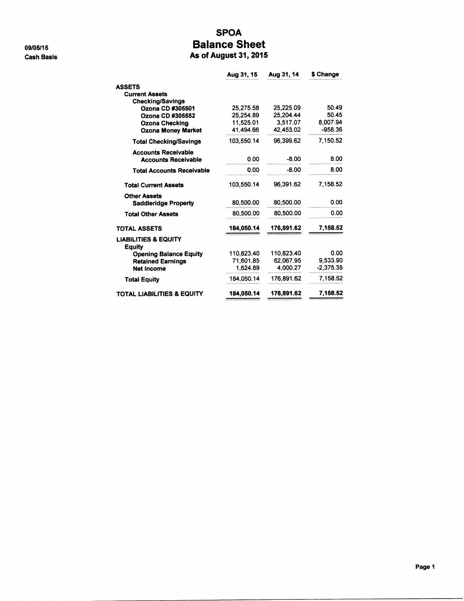09/05/15 **Cash Basis** 

#### **SPOA Balance Sheet** As of August 31, 2015

|                                                  | Aug 31, 15 | Aug 31, 14 | \$ Change   |
|--------------------------------------------------|------------|------------|-------------|
| <b>ASSETS</b>                                    |            |            |             |
| <b>Current Assets</b>                            |            |            |             |
| Checking/Savings                                 |            |            |             |
| Ozona CD #305501                                 | 25.275.58  | 25.225.09  | 50.49       |
| Ozona CD #305552                                 | 25.254.89  | 25.204.44  | 50.45       |
| <b>Ozona Checking</b>                            | 11.525.01  | 3.517.07   | 8,007.94    |
| <b>Ozona Money Market</b>                        | 41,494.66  | 42,453.02  | $-958.36$   |
| <b>Total Checking/Savings</b>                    | 103.550.14 | 96.399.62  | 7.150.52    |
| <b>Accounts Receivable</b>                       |            |            |             |
| <b>Accounts Receivable</b>                       | 0.00       | $-8.00$    | 8.00        |
| <b>Total Accounts Receivable</b>                 | 0.00       | $-8.00$    | 8.00        |
| <b>Total Current Assets</b>                      | 103.550.14 | 96,391.62  | 7.158.52    |
| <b>Other Assets</b>                              |            |            |             |
| <b>Saddleridge Property</b>                      | 80.500.00  | 80.500.00  | 0.00        |
| <b>Total Other Assets</b>                        | 80.500.00  | 80,500.00  | 0.00        |
| <b>TOTAL ASSETS</b>                              | 184,050.14 | 176,891.62 | 7,158.52    |
| <b>LIABILITIES &amp; EQUITY</b><br><b>Equity</b> |            |            |             |
| <b>Opening Balance Equity</b>                    | 110.823.40 | 110.823.40 | 0.00        |
| <b>Retained Earnings</b>                         | 71,601.85  | 62.067.95  | 9.533.90    |
| <b>Net Income</b>                                | 1.624.89   | 4.000.27   | $-2,375.38$ |
| <b>Total Equity</b>                              | 184.050.14 | 176.891.62 | 7.158.52    |
| TOTAL LIABILITIES & EQUITY                       | 184,050.14 | 176,891.62 | 7,158.52    |